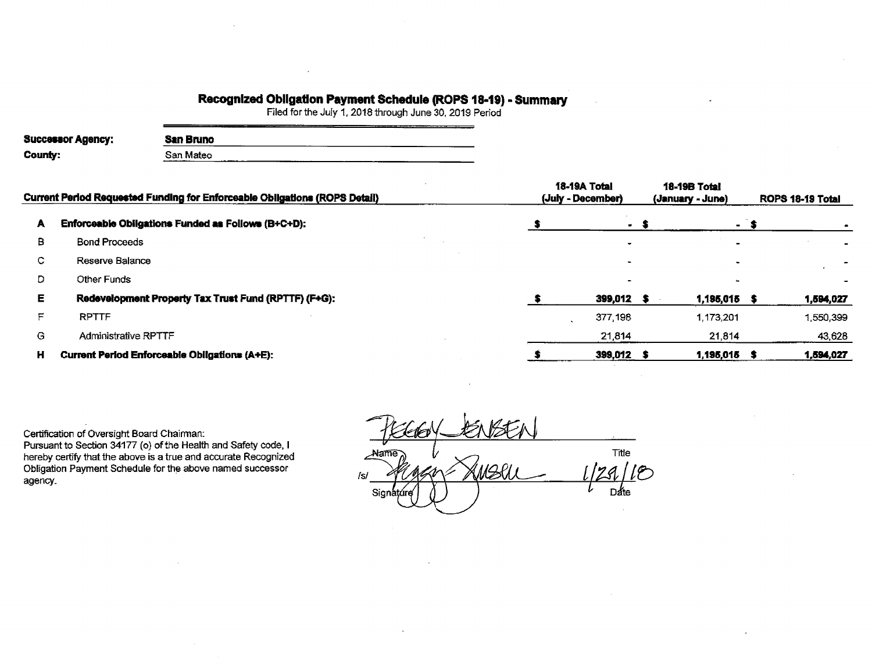## **Recognized Obligation Payment Schedule (ROPS 18-19) - Summary**<br>Filed for the July 1, 2018 through June 30, 2019 Period

| <b>Successor Agency:</b> | San Bruno |  |
|--------------------------|-----------|--|
| County:                  | San Mateo |  |

|    | Current Period Requested Funding for Enforceable Obligations (ROPS Detail) | 18-19A Total<br>(July - December) | <b>18-19B Total</b><br>(January - June) | ROPS 18-19 Total |           |  |
|----|----------------------------------------------------------------------------|-----------------------------------|-----------------------------------------|------------------|-----------|--|
| A  | Enforceable Obligations Funded as Follows (B+C+D):                         | - 5                               | $\sim$                                  |                  |           |  |
| в  | <b>Bond Proceeds</b>                                                       |                                   |                                         |                  |           |  |
| c  | Reserve Balance                                                            |                                   |                                         |                  |           |  |
| D  | Other Funds                                                                |                                   |                                         |                  |           |  |
| E. | Redevelopment Property Tax Trust Fund (RPTTF) (F+G):                       | 399,012 \$                        | 1,195,015 \$                            |                  | 1,594,027 |  |
|    | <b>RPTTF</b>                                                               | 377,198                           | 1.173.201                               |                  | 1,550,399 |  |
| G  | Administrative RPTTF                                                       | 21,814                            | 21,814                                  |                  | 43,628    |  |
| н  | Current Period Enforceable Obligations (A+E):                              | 399,012 \$                        | 1,195,015                               |                  | 1,594,027 |  |

Certification of Oversight Board Chairman: Pursuant to Section 34177 (o) of the Health and Safety code, I hereby certify that the above is a true and accurate Recognized<br>Obligation Payment Schedule for the above named successor agency.

Title Alame  $110$ 12l **Date** Signi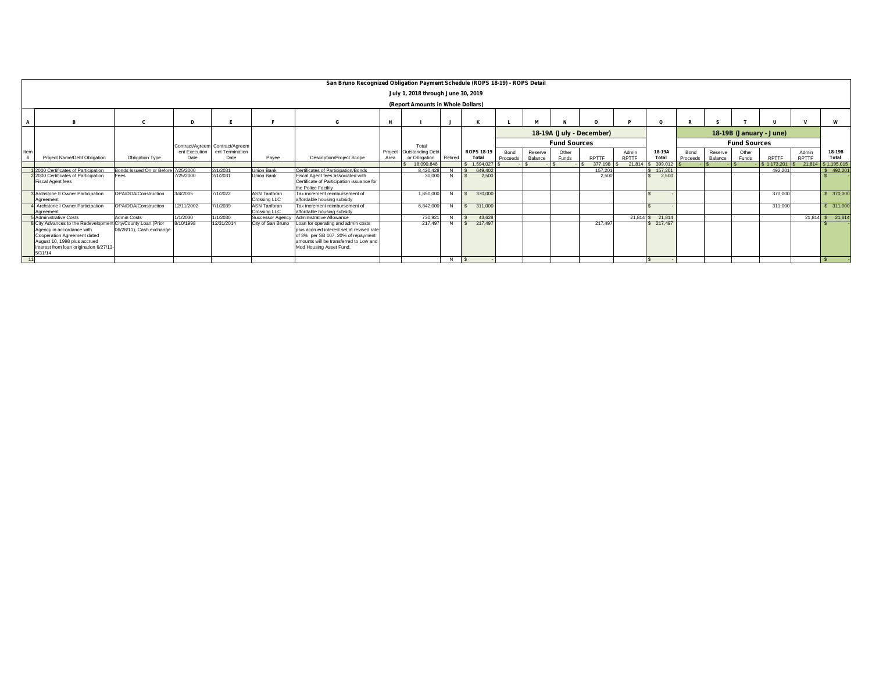| San Bruno Recognized Obligation Payment Schedule (ROPS 18-19) - ROPS Detail                                                                                                         |                                                       |               |                                 |                                            |                                                                                                                                                                                            |         |                  |         |                   |          |         |                     |         |       |                      |          |         |                     |                     |              |                    |
|-------------------------------------------------------------------------------------------------------------------------------------------------------------------------------------|-------------------------------------------------------|---------------|---------------------------------|--------------------------------------------|--------------------------------------------------------------------------------------------------------------------------------------------------------------------------------------------|---------|------------------|---------|-------------------|----------|---------|---------------------|---------|-------|----------------------|----------|---------|---------------------|---------------------|--------------|--------------------|
|                                                                                                                                                                                     | July 1, 2018 through June 30, 2019                    |               |                                 |                                            |                                                                                                                                                                                            |         |                  |         |                   |          |         |                     |         |       |                      |          |         |                     |                     |              |                    |
|                                                                                                                                                                                     | (Report Amounts in Whole Dollars)                     |               |                                 |                                            |                                                                                                                                                                                            |         |                  |         |                   |          |         |                     |         |       |                      |          |         |                     |                     |              |                    |
|                                                                                                                                                                                     |                                                       |               |                                 |                                            |                                                                                                                                                                                            |         |                  |         |                   |          |         |                     |         |       | Ω                    |          |         |                     |                     |              | W                  |
| 18-19A (July - December)<br>18-19B (January - June)                                                                                                                                 |                                                       |               |                                 |                                            |                                                                                                                                                                                            |         |                  |         |                   |          |         |                     |         |       |                      |          |         |                     |                     |              |                    |
|                                                                                                                                                                                     |                                                       |               | Contract/Agreem Contract/Agreem |                                            |                                                                                                                                                                                            |         | Total            |         |                   |          |         | <b>Fund Sources</b> |         |       |                      |          |         | <b>Fund Sources</b> |                     |              |                    |
| Item                                                                                                                                                                                |                                                       | ent Execution | ent Termination                 |                                            |                                                                                                                                                                                            | Project | Outstanding Debt |         | <b>ROPS 18-19</b> | Bond     | Reserve | Other               |         | Admin | 18-19A               | Bond     | Reserve | Other               |                     | Admin        | 18-19B             |
| Project Name/Debt Obligation<br>- #                                                                                                                                                 | <b>Obligation Type</b>                                | Date          | Date                            | Payee                                      | <b>Description/Project Scope</b>                                                                                                                                                           | Area    | or Obligation    | Retired | Total             | Proceeds | Balance | Funds               | RPTTF   | RPTTF | Total                | Proceeds | Balance | Funds               | <b>RPTTF</b>        | <b>RPTTF</b> | Total              |
|                                                                                                                                                                                     |                                                       |               |                                 |                                            |                                                                                                                                                                                            |         | 18,090,846       |         | \$1.594.027       |          |         |                     | 377,198 |       | 21.814 \$ 399.012 \$ |          |         |                     | $-$ \$ 1,173,201 \$ |              | 21.814 S 1.195.015 |
| 2000 Certificates of Participation                                                                                                                                                  | Bonds Issued On or Before 7/25/2000                   |               | 2/1/2031<br>2/1/2031            | Union Bank                                 | Certificates of Participation/Bonds                                                                                                                                                        |         | 8.420.428        |         | 649,402           |          |         |                     | 157,201 |       | \$157,201            |          |         |                     | 492.201             |              | \$492.20           |
| 2000 Certificates of Participation<br><b>Fiscal Agent fees</b>                                                                                                                      | ees <sup>-</sup>                                      | 7/25/2000     |                                 | <b>Union Bank</b>                          | Fiscal Agent fees associated with<br>Certificate of Participation issuance for<br>the Police Facility                                                                                      |         | 30,000           |         | 2.500             |          |         |                     | 2,500   |       | 2.500                |          |         |                     |                     |              |                    |
| Archstone II Owner Participation<br>Agreement                                                                                                                                       | OPA/DDA/Construction                                  | 3/4/2005      | 7/1/2022                        | <b>ASN Tanforan</b><br><b>Crossing LLC</b> | Tax increment reimbursement of<br>affordable housing subsidy                                                                                                                               |         | 1.850.000        |         | 370,000           |          |         |                     |         |       |                      |          |         |                     | 370,000             |              | \$ 370,000         |
| Archstone I Owner Participation<br>Agreement                                                                                                                                        | OPA/DDA/Construction                                  | 12/11/2002    | 7/1/2039                        | <b>ASN Tanforan</b><br>Crossing LLC        | Tax increment reimbursement of<br>affordable housing subsidy                                                                                                                               |         | 6,842,000        |         | 311,000           |          |         |                     |         |       |                      |          |         |                     | 311,000             |              | \$ 311,000         |
| Administrative Costs                                                                                                                                                                | Admin Costs                                           | 1/1/2030      | 1/1/2030                        |                                            | Successor Agency Administrative Allowance                                                                                                                                                  |         | 730.921          |         | 43.628            |          |         |                     |         |       | 21,814 \$21,814      |          |         |                     |                     |              | 21,814 \$ 21,814   |
| City Advances to the Redevelopment<br>Agency in accordance with<br>Cooperation Agreement dated<br>August 10, 1998 plus accrued<br>interest from loan origination 6/27/13<br>5/31/14 | t City/County Loan (Prior<br>06/28/11), Cash exchange | 8/10/1998     | 12/31/2014                      | City of San Bruno                          | Loan for operating and admin costs<br>plus accrued interest set at revised rate<br>of 3% per SB 107. 20% of repayment<br>amounts will be transferred to Low and<br>Mod Housing Asset Fund. |         | 217,497          |         | 217,497           |          |         |                     | 217,497 |       | \$217,497            |          |         |                     |                     |              |                    |
|                                                                                                                                                                                     |                                                       |               |                                 |                                            |                                                                                                                                                                                            |         |                  | N       | l \$              |          |         |                     |         |       |                      |          |         |                     |                     |              |                    |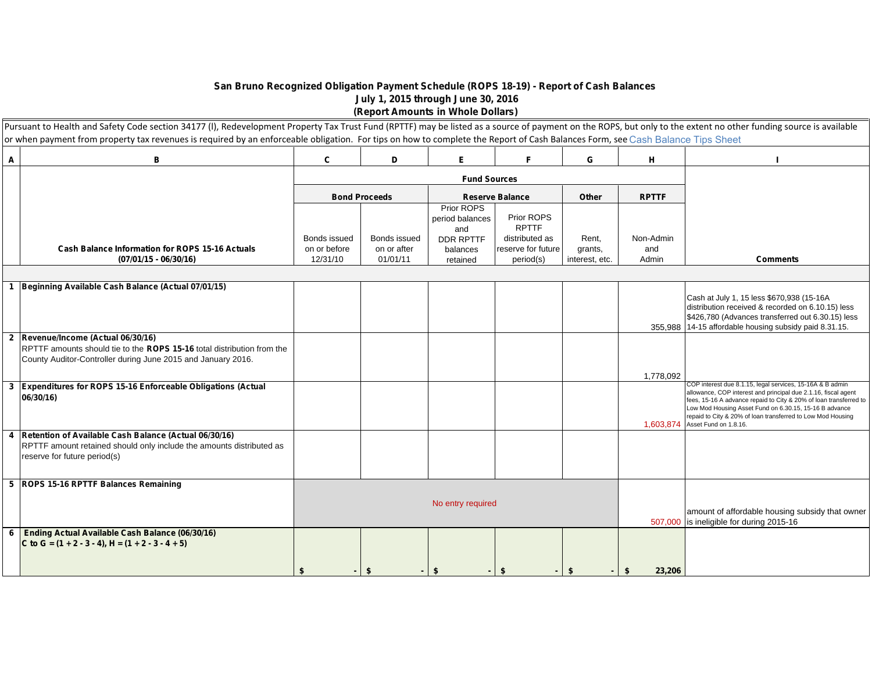## **San Bruno Recognized Obligation Payment Schedule (ROPS 18-19) - Report of Cash Balances July 1, 2015 through June 30, 2016**